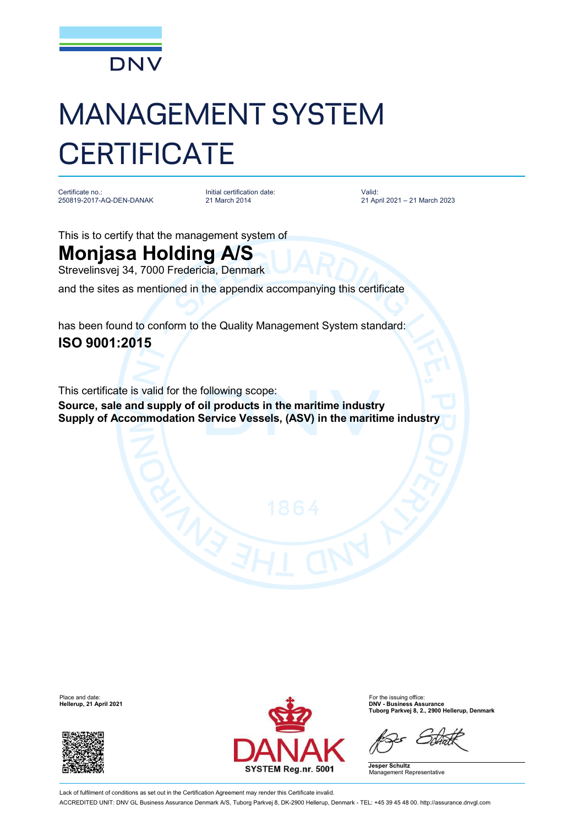

## MANAGEMENT SYSTEM **CERTIFICATE**

Certificate no.: 250819-2017-AQ-DEN-DANAK

Initial certification date: 21 March 2014

Valid: 21 April 2021 – 21 March 2023

This is to certify that the management system of

## **Monjasa Holding A/S**

Strevelinsvej 34, 7000 Fredericia, Denmark

and the sites as mentioned in the appendix accompanying this certificate

has been found to conform to the Quality Management System standard: **ISO 9001:2015**

This certificate is valid for the following scope: **Source, sale and supply of oil products in the maritime industry Supply of Accommodation Service Vessels, (ASV) in the maritime industry**

**Hellerup, 21 April 2021** 





**Tuborg Parkvej 8, 2., 2900 Hellerup, Denmark**

**Jesper Schultz** Management Representative

Lack of fulfilment of conditions as set out in the Certification Agreement may render this Certificate invalid. ACCREDITED UNIT: DNV GL Business Assurance Denmark A/S, Tuborg Parkvej 8, DK-2900 Hellerup, Denmark - TEL: +45 39 45 48 00. <http://assurance.dnvgl.com>